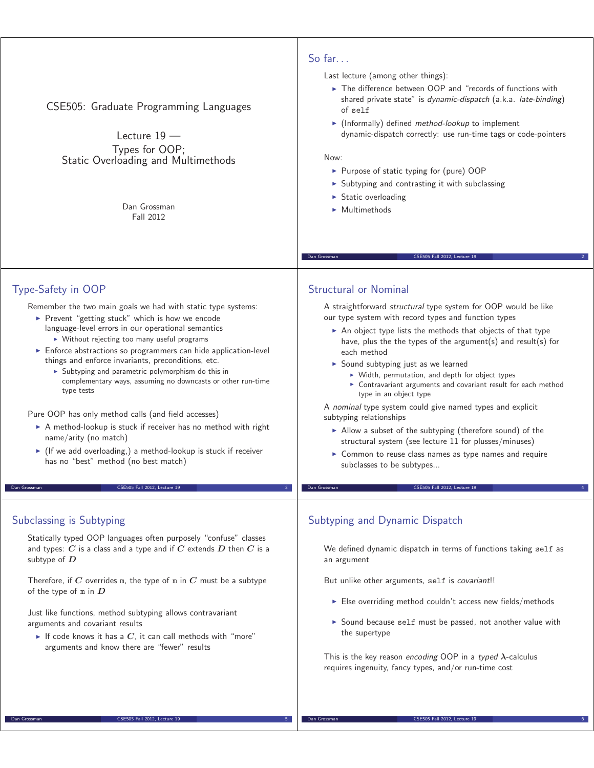| CSE505: Graduate Programming Languages<br>Lecture $19 -$<br>Types for OOP;<br>Static Overloading and Multimethods<br>Dan Grossman<br>Fall 2012                                                                                                                                                                                                                                                                                                                                                                                                                                                                                                                                                                                                                                                                                   | So far. $\ldots$<br>Last lecture (among other things):<br>The difference between OOP and "records of functions with<br>shared private state" is dynamic-dispatch (a.k.a. late-binding)<br>of self<br>$\blacktriangleright$ (Informally) defined <i>method-lookup</i> to implement<br>dynamic-dispatch correctly: use run-time tags or code-pointers<br>Now:<br>▶ Purpose of static typing for (pure) OOP<br>> Subtyping and contrasting it with subclassing<br>$\triangleright$ Static overloading<br>$\blacktriangleright$ Multimethods<br>Dan Grossman<br>CSE505 Fall 2012, Lecture 19                                                                                                                                                                                                                                                         |
|----------------------------------------------------------------------------------------------------------------------------------------------------------------------------------------------------------------------------------------------------------------------------------------------------------------------------------------------------------------------------------------------------------------------------------------------------------------------------------------------------------------------------------------------------------------------------------------------------------------------------------------------------------------------------------------------------------------------------------------------------------------------------------------------------------------------------------|--------------------------------------------------------------------------------------------------------------------------------------------------------------------------------------------------------------------------------------------------------------------------------------------------------------------------------------------------------------------------------------------------------------------------------------------------------------------------------------------------------------------------------------------------------------------------------------------------------------------------------------------------------------------------------------------------------------------------------------------------------------------------------------------------------------------------------------------------|
| Type-Safety in OOP<br>Remember the two main goals we had with static type systems:<br>Prevent "getting stuck" which is how we encode<br>language-level errors in our operational semantics<br>▶ Without rejecting too many useful programs<br>Enforce abstractions so programmers can hide application-level<br>things and enforce invariants, preconditions, etc.<br>$\triangleright$ Subtyping and parametric polymorphism do this in<br>complementary ways, assuming no downcasts or other run-time<br>type tests<br>Pure OOP has only method calls (and field accesses)<br>A method-lookup is stuck if receiver has no method with right<br>name/arity (no match)<br>▶ (If we add overloading,) a method-lookup is stuck if receiver<br>has no "best" method (no best match)<br>CSE505 Fall 2012, Lecture 19<br>Dan Grossman | <b>Structural or Nominal</b><br>A straightforward structural type system for OOP would be like<br>our type system with record types and function types<br>An object type lists the methods that objects of that type<br>have, plus the the types of the argument(s) and result(s) for<br>each method<br>Sound subtyping just as we learned<br>▶ Width, permutation, and depth for object types<br>> Contravariant arguments and covariant result for each method<br>type in an object type<br>A nominal type system could give named types and explicit<br>subtyping relationships<br>Allow a subset of the subtyping (therefore sound) of the<br>structural system (see lecture 11 for plusses/minuses)<br>• Common to reuse class names as type names and require<br>subclasses to be subtypes<br>CSE505 Fall 2012, Lecture 19<br>Dan Grossman |
| Subclassing is Subtyping<br>Statically typed OOP languages often purposely "confuse" classes<br>and types: $C$ is a class and a type and if $C$ extends $D$ then $C$ is a<br>subtype of $D$<br>Therefore, if C overrides m, the type of m in C must be a subtype<br>of the type of $m$ in $D$<br>Just like functions, method subtyping allows contravariant<br>arguments and covariant results<br>If code knows it has a $C$ , it can call methods with "more"<br>arguments and know there are "fewer" results                                                                                                                                                                                                                                                                                                                   | Subtyping and Dynamic Dispatch<br>We defined dynamic dispatch in terms of functions taking self as<br>an argument<br>But unlike other arguments, self is covariant!!<br>$\triangleright$ Else overriding method couldn't access new fields/methods<br>Sound because self must be passed, not another value with<br>the supertype<br>This is the key reason encoding OOP in a typed $\lambda$ -calculus<br>requires ingenuity, fancy types, and/or run-time cost                                                                                                                                                                                                                                                                                                                                                                                  |

Dan Grossman CSE505 Fall 2012, Lecture 19 6

Dan Grossman CSE505 Fall 2012, Lecture 19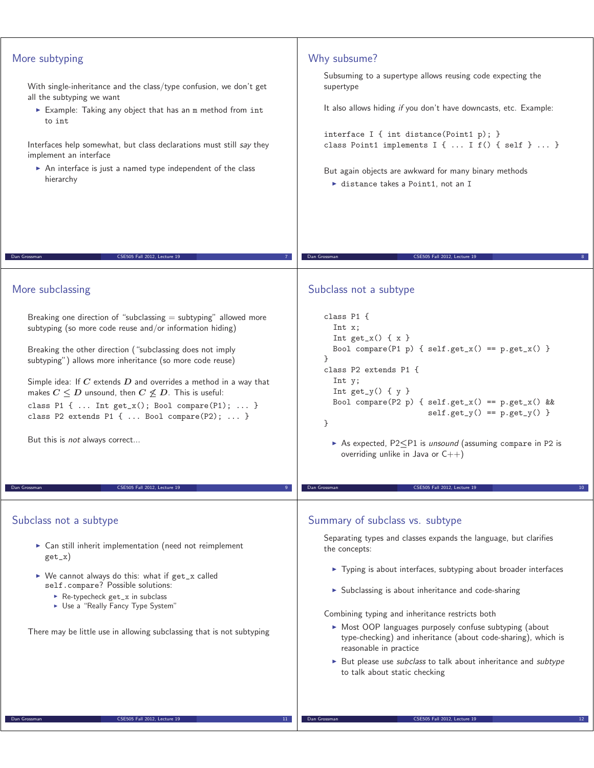| More subtyping<br>With single-inheritance and the class/type confusion, we don't get<br>all the subtyping we want<br>Example: Taking any object that has an m method from int<br>to int<br>Interfaces help somewhat, but class declarations must still say they<br>implement an interface<br>An interface is just a named type independent of the class<br>hierarchy                                                                                                                                                              | Why subsume?<br>Subsuming to a supertype allows reusing code expecting the<br>supertype<br>It also allows hiding if you don't have downcasts, etc. Example:<br>interface I { int distance(Point1 p); }<br>class Point1 implements I {  I f() { self }  }<br>But again objects are awkward for many binary methods<br>$\triangleright$ distance takes a Point1, not an I                                                                                                                                                                                      |
|-----------------------------------------------------------------------------------------------------------------------------------------------------------------------------------------------------------------------------------------------------------------------------------------------------------------------------------------------------------------------------------------------------------------------------------------------------------------------------------------------------------------------------------|--------------------------------------------------------------------------------------------------------------------------------------------------------------------------------------------------------------------------------------------------------------------------------------------------------------------------------------------------------------------------------------------------------------------------------------------------------------------------------------------------------------------------------------------------------------|
| CSE505 Fall 2012, Lecture 19<br>Dan Grossman                                                                                                                                                                                                                                                                                                                                                                                                                                                                                      | CSE505 Fall 2012, Lecture 19<br>Dan Grossman                                                                                                                                                                                                                                                                                                                                                                                                                                                                                                                 |
| More subclassing                                                                                                                                                                                                                                                                                                                                                                                                                                                                                                                  | Subclass not a subtype                                                                                                                                                                                                                                                                                                                                                                                                                                                                                                                                       |
| Breaking one direction of "subclassing $=$ subtyping" allowed more<br>subtyping (so more code reuse and/or information hiding)<br>Breaking the other direction ("subclassing does not imply<br>subtyping") allows more inheritance (so more code reuse)<br>Simple idea: If $C$ extends $D$ and overrides a method in a way that<br>makes $C \leq D$ unsound, then $C \nleq D$ . This is useful:<br>class P1 {  Int get_x(); Bool compare(P1);  }<br>class P2 extends P1 {  Bool compare(P2);  }<br>But this is not always correct | class P1 f<br>Int x;<br>Int $get_x() \{ x \}$<br>Bool compare(P1 p) { $self.get_x() == p.get_x()$ }<br>$\mathcal{F}$<br>class P2 extends P1 {<br>Int y;<br>Int $get_y() \{ y \}$<br>Bool compare(P2 p) { $self.get_x() == p.get_x() &$<br>$self.get_y() == p.get_y()$<br>}<br>As expected, $P2\leq P1$ is unsound (assuming compare in P2 is<br>overriding unlike in Java or $C++$ )                                                                                                                                                                         |
| CSE505 Fall 2012, Lecture 19<br>Dan Grossman                                                                                                                                                                                                                                                                                                                                                                                                                                                                                      | CSE505 Fall 2012, Lecture 19<br>Dan Grossman                                                                                                                                                                                                                                                                                                                                                                                                                                                                                                                 |
| Subclass not a subtype<br>$\triangleright$ Can still inherit implementation (need not reimplement<br>$get_x)$<br>► We cannot always do this: what if get_x called<br>self.compare? Possible solutions:<br>Re-typecheck get_x in subclass<br>• Use a "Really Fancy Type System"<br>There may be little use in allowing subclassing that is not subtyping                                                                                                                                                                           | Summary of subclass vs. subtype<br>Separating types and classes expands the language, but clarifies<br>the concepts:<br>▶ Typing is about interfaces, subtyping about broader interfaces<br>> Subclassing is about inheritance and code-sharing<br>Combining typing and inheritance restricts both<br>• Most OOP languages purposely confuse subtyping (about<br>type-checking) and inheritance (about code-sharing), which is<br>reasonable in practice<br>• But please use subclass to talk about inheritance and subtype<br>to talk about static checking |
| CSE505 Fall 2012, Lecture 19<br>Dan Grossman<br>$11^-$                                                                                                                                                                                                                                                                                                                                                                                                                                                                            | CSE505 Fall 2012, Lecture 19<br>Dan Grossman                                                                                                                                                                                                                                                                                                                                                                                                                                                                                                                 |